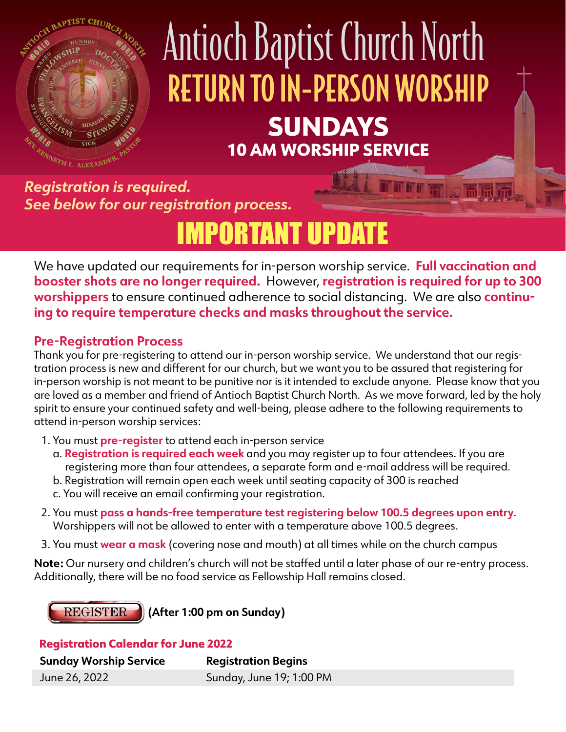

# Antioch Baptist Church North RETURN TO IN-PERSON WORSHIP SUNDAYS 10 AM WORSHIP SERVICE

*Registration is required. See below for our registration process.*

# IMPORTANT UPDATE

We have updated our requirements for in-person worship service. **Full vaccination and booster shots are no longer required.** However, **registration is required for up to 300 worshippers** to ensure continued adherence to social distancing. We are also **continuing to require temperature checks and masks throughout the service.** 

## **Pre-Registration Process**

Thank you for pre-registering to attend our in-person worship service. We understand that our registration process is new and different for our church, but we want you to be assured that registering for in-person worship is not meant to be punitive nor is it intended to exclude anyone. Please know that you are loved as a member and friend of Antioch Baptist Church North. As we move forward, led by the holy spirit to ensure your continued safety and well-being, please adhere to the following requirements to attend in-person worship services:

- 1. You must **pre-register** to attend each in-person service
	- a. **Registration is required each week** and you may register up to four attendees. If you are registering more than four attendees, a separate form and e-mail address will be required.
	- b. Registration will remain open each week until seating capacity of 300 is reached
	- c. You will receive an email confirming your registration.
- 2. You must **pass a hands-free temperature test registering below 100.5 degrees upon entry**. Worshippers will not be allowed to enter with a temperature above 100.5 degrees.
- 3. You must **wear a mask** (covering nose and mouth) at all times while on the church campus

**Note:** Our nursery and children's church will not be staffed until a later phase of our re-entry process. Additionally, there will be no food service as Fellowship Hall remains closed.

**REGISTER** 

**(After 1:00 pm on Sunday)**

#### Registration Calendar for June 2022

| <b>Sunday Worship Service</b> | <b>Registration Begins</b> |
|-------------------------------|----------------------------|
| June 26, 2022                 | Sunday, June 19; 1:00 PM   |